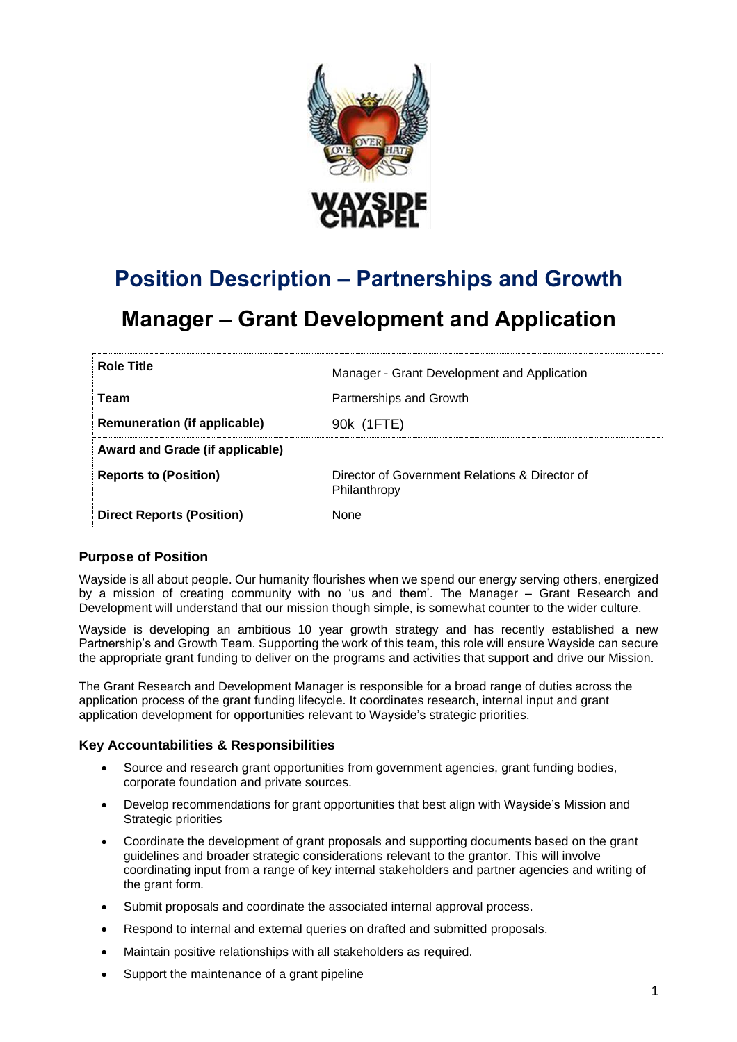

# **Position Description – Partnerships and Growth**

## **Manager – Grant Development and Application**

| <b>Role Title</b>                   | Manager - Grant Development and Application                    |
|-------------------------------------|----------------------------------------------------------------|
| <b>Team</b>                         | Partnerships and Growth                                        |
| <b>Remuneration (if applicable)</b> | 90k (1FTE)                                                     |
| Award and Grade (if applicable)     |                                                                |
| <b>Reports to (Position)</b>        | Director of Government Relations & Director of<br>Philanthropy |
| <b>Direct Reports (Position)</b>    | <b>None</b>                                                    |

## **Purpose of Position**

Wayside is all about people. Our humanity flourishes when we spend our energy serving others, energized by a mission of creating community with no 'us and them'. The Manager – Grant Research and Development will understand that our mission though simple, is somewhat counter to the wider culture.

Wayside is developing an ambitious 10 year growth strategy and has recently established a new Partnership's and Growth Team. Supporting the work of this team, this role will ensure Wayside can secure the appropriate grant funding to deliver on the programs and activities that support and drive our Mission.

The Grant Research and Development Manager is responsible for a broad range of duties across the application process of the grant funding lifecycle. It coordinates research, internal input and grant application development for opportunities relevant to Wayside's strategic priorities.

## **Key Accountabilities & Responsibilities**

- Source and research grant opportunities from government agencies, grant funding bodies, corporate foundation and private sources.
- Develop recommendations for grant opportunities that best align with Wayside's Mission and Strategic priorities
- Coordinate the development of grant proposals and supporting documents based on the grant guidelines and broader strategic considerations relevant to the grantor. This will involve coordinating input from a range of key internal stakeholders and partner agencies and writing of the grant form.
- Submit proposals and coordinate the associated internal approval process.
- Respond to internal and external queries on drafted and submitted proposals.
- Maintain positive relationships with all stakeholders as required.
- Support the maintenance of a grant pipeline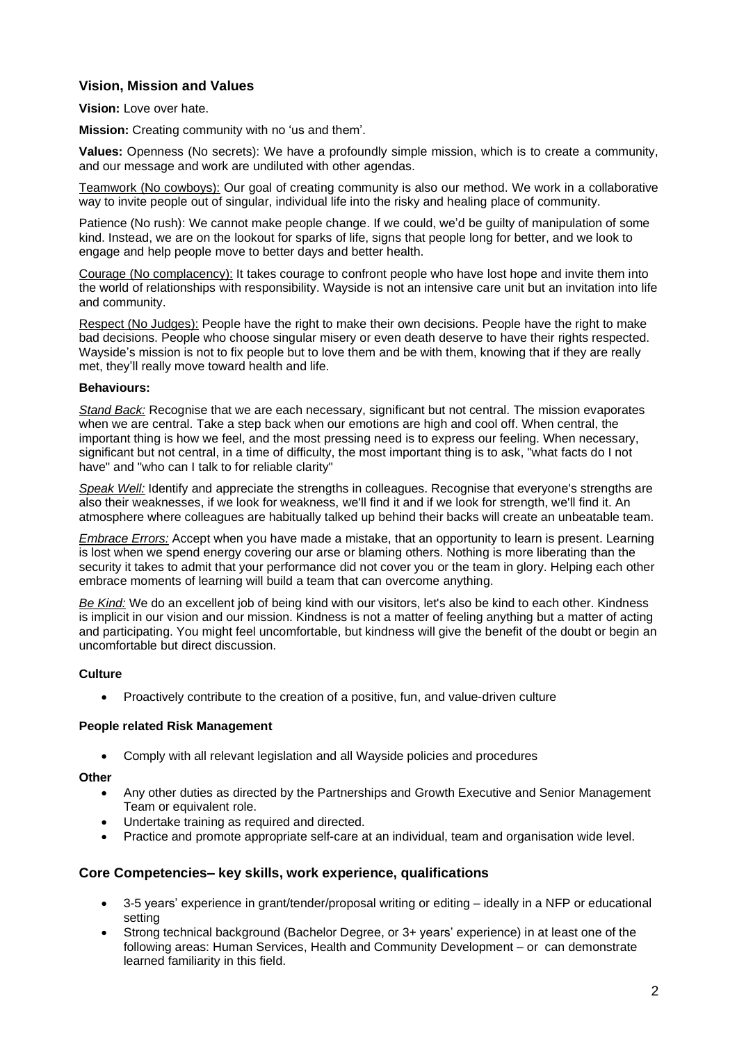## **Vision, Mission and Values**

### **Vision:** Love over hate.

**Mission:** Creating community with no 'us and them'.

**Values:** Openness (No secrets): We have a profoundly simple mission, which is to create a community, and our message and work are undiluted with other agendas.

Teamwork (No cowboys): Our goal of creating community is also our method. We work in a collaborative way to invite people out of singular, individual life into the risky and healing place of community.

Patience (No rush): We cannot make people change. If we could, we'd be guilty of manipulation of some kind. Instead, we are on the lookout for sparks of life, signs that people long for better, and we look to engage and help people move to better days and better health.

Courage (No complacency): It takes courage to confront people who have lost hope and invite them into the world of relationships with responsibility. Wayside is not an intensive care unit but an invitation into life and community.

Respect (No Judges): People have the right to make their own decisions. People have the right to make bad decisions. People who choose singular misery or even death deserve to have their rights respected. Wayside's mission is not to fix people but to love them and be with them, knowing that if they are really met, they'll really move toward health and life.

### **Behaviours:**

*Stand Back:* Recognise that we are each necessary, significant but not central. The mission evaporates when we are central. Take a step back when our emotions are high and cool off. When central, the important thing is how we feel, and the most pressing need is to express our feeling. When necessary, significant but not central, in a time of difficulty, the most important thing is to ask, "what facts do I not have" and "who can I talk to for reliable clarity"

*Speak Well:* Identify and appreciate the strengths in colleagues. Recognise that everyone's strengths are also their weaknesses, if we look for weakness, we'll find it and if we look for strength, we'll find it. An atmosphere where colleagues are habitually talked up behind their backs will create an unbeatable team.

*Embrace Errors:* Accept when you have made a mistake, that an opportunity to learn is present. Learning is lost when we spend energy covering our arse or blaming others. Nothing is more liberating than the security it takes to admit that your performance did not cover you or the team in glory. Helping each other embrace moments of learning will build a team that can overcome anything.

*Be Kind:* We do an excellent job of being kind with our visitors, let's also be kind to each other. Kindness is implicit in our vision and our mission. Kindness is not a matter of feeling anything but a matter of acting and participating. You might feel uncomfortable, but kindness will give the benefit of the doubt or begin an uncomfortable but direct discussion.

## **Culture**

• Proactively contribute to the creation of a positive, fun, and value-driven culture

### **People related Risk Management**

• Comply with all relevant legislation and all Wayside policies and procedures

## **Other**

- Any other duties as directed by the Partnerships and Growth Executive and Senior Management Team or equivalent role.
- Undertake training as required and directed.
- Practice and promote appropriate self-care at an individual, team and organisation wide level.

## **Core Competencies– key skills, work experience, qualifications**

- 3-5 years' experience in grant/tender/proposal writing or editing ideally in a NFP or educational setting
- Strong technical background (Bachelor Degree, or 3+ years' experience) in at least one of the following areas: Human Services, Health and Community Development – or can demonstrate learned familiarity in this field.